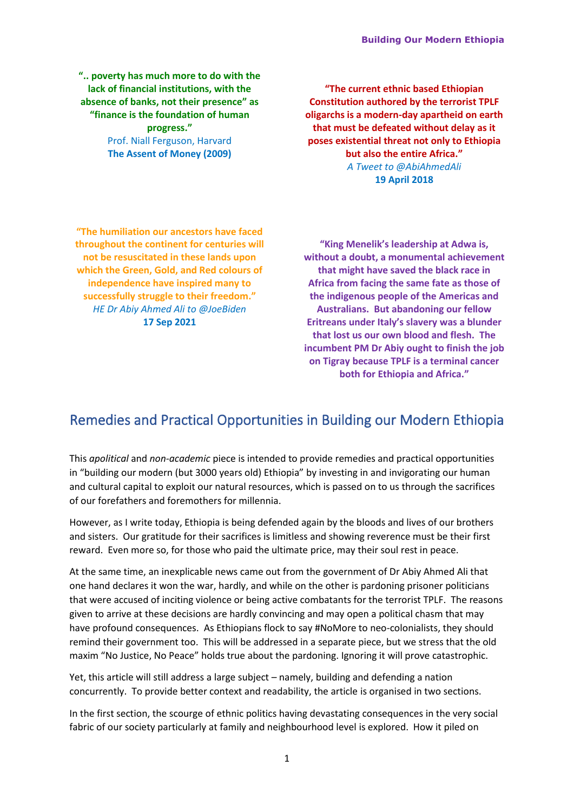**".. poverty has much more to do with the lack of financial institutions, with the absence of banks, not their presence" as "finance is the foundation of human progress."** Prof. Niall Ferguson, Harvard **The Assent of Money (2009)**

**"The current ethnic based Ethiopian Constitution authored by the terrorist TPLF oligarchs is a modern-day apartheid on earth that must be defeated without delay as it poses existential threat not only to Ethiopia but also the entire Africa."** *A Tweet to @AbiAhmedAli* **19 April 2018**

**"The humiliation our ancestors have faced throughout the continent for centuries will not be resuscitated in these lands upon which the Green, Gold, and Red colours of independence have inspired many to successfully struggle to their freedom."** *HE Dr Abiy Ahmed Ali to @JoeBiden* **17 Sep 2021**

**"King Menelik's leadership at Adwa is, without a doubt, a monumental achievement that might have saved the black race in Africa from facing the same fate as those of the indigenous people of the Americas and Australians. But abandoning our fellow Eritreans under Italy's slavery was a blunder that lost us our own blood and flesh. The incumbent PM Dr Abiy ought to finish the job on Tigray because TPLF is a terminal cancer both for Ethiopia and Africa."**

# Remedies and Practical Opportunities in Building our Modern Ethiopia

This *apolitical* and *non-academic* piece is intended to provide remedies and practical opportunities in "building our modern (but 3000 years old) Ethiopia" by investing in and invigorating our human and cultural capital to exploit our natural resources, which is passed on to us through the sacrifices of our forefathers and foremothers for millennia.

However, as I write today, Ethiopia is being defended again by the bloods and lives of our brothers and sisters. Our gratitude for their sacrifices is limitless and showing reverence must be their first reward. Even more so, for those who paid the ultimate price, may their soul rest in peace.

At the same time, an inexplicable news came out from the government of Dr Abiy Ahmed Ali that one hand declares it won the war, hardly, and while on the other is pardoning prisoner politicians that were accused of inciting violence or being active combatants for the terrorist TPLF. The reasons given to arrive at these decisions are hardly convincing and may open a political chasm that may have profound consequences. As Ethiopians flock to say #NoMore to neo-colonialists, they should remind their government too. This will be addressed in a separate piece, but we stress that the old maxim "No Justice, No Peace" holds true about the pardoning. Ignoring it will prove catastrophic.

Yet, this article will still address a large subject – namely, building and defending a nation concurrently. To provide better context and readability, the article is organised in two sections.

In the first section, the scourge of ethnic politics having devastating consequences in the very social fabric of our society particularly at family and neighbourhood level is explored. How it piled on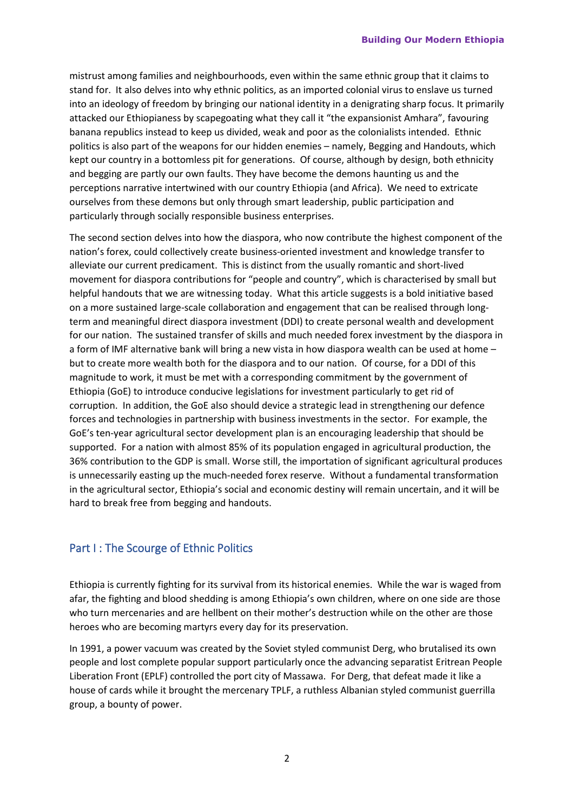mistrust among families and neighbourhoods, even within the same ethnic group that it claims to stand for. It also delves into why ethnic politics, as an imported colonial virus to enslave us turned into an ideology of freedom by bringing our national identity in a denigrating sharp focus. It primarily attacked our Ethiopianess by scapegoating what they call it "the expansionist Amhara", favouring banana republics instead to keep us divided, weak and poor as the colonialists intended. Ethnic politics is also part of the weapons for our hidden enemies – namely, Begging and Handouts, which kept our country in a bottomless pit for generations. Of course, although by design, both ethnicity and begging are partly our own faults. They have become the demons haunting us and the perceptions narrative intertwined with our country Ethiopia (and Africa). We need to extricate ourselves from these demons but only through smart leadership, public participation and particularly through socially responsible business enterprises.

The second section delves into how the diaspora, who now contribute the highest component of the nation's forex, could collectively create business-oriented investment and knowledge transfer to alleviate our current predicament. This is distinct from the usually romantic and short-lived movement for diaspora contributions for "people and country", which is characterised by small but helpful handouts that we are witnessing today. What this article suggests is a bold initiative based on a more sustained large-scale collaboration and engagement that can be realised through longterm and meaningful direct diaspora investment (DDI) to create personal wealth and development for our nation. The sustained transfer of skills and much needed forex investment by the diaspora in a form of IMF alternative bank will bring a new vista in how diaspora wealth can be used at home – but to create more wealth both for the diaspora and to our nation. Of course, for a DDI of this magnitude to work, it must be met with a corresponding commitment by the government of Ethiopia (GoE) to introduce conducive legislations for investment particularly to get rid of corruption. In addition, the GoE also should device a strategic lead in strengthening our defence forces and technologies in partnership with business investments in the sector. For example, the GoE's ten-year agricultural sector development plan is an encouraging leadership that should be supported. For a nation with almost 85% of its population engaged in agricultural production, the 36% contribution to the GDP is small. Worse still, the importation of significant agricultural produces is unnecessarily easting up the much-needed forex reserve. Without a fundamental transformation in the agricultural sector, Ethiopia's social and economic destiny will remain uncertain, and it will be hard to break free from begging and handouts.

# Part I : The Scourge of Ethnic Politics

Ethiopia is currently fighting for its survival from its historical enemies. While the war is waged from afar, the fighting and blood shedding is among Ethiopia's own children, where on one side are those who turn mercenaries and are hellbent on their mother's destruction while on the other are those heroes who are becoming martyrs every day for its preservation.

In 1991, a power vacuum was created by the Soviet styled communist Derg, who brutalised its own people and lost complete popular support particularly once the advancing separatist Eritrean People Liberation Front (EPLF) controlled the port city of Massawa. For Derg, that defeat made it like a house of cards while it brought the mercenary TPLF, a ruthless Albanian styled communist guerrilla group, a bounty of power.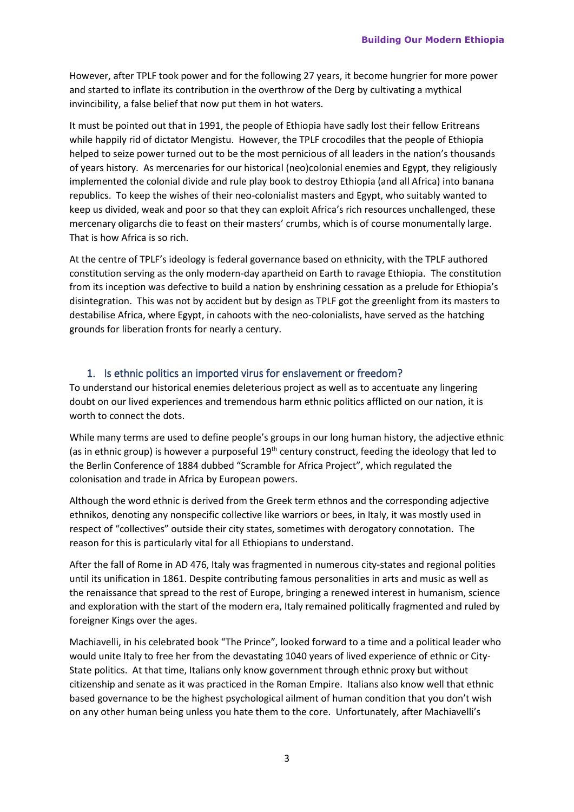However, after TPLF took power and for the following 27 years, it become hungrier for more power and started to inflate its contribution in the overthrow of the Derg by cultivating a mythical invincibility, a false belief that now put them in hot waters.

It must be pointed out that in 1991, the people of Ethiopia have sadly lost their fellow Eritreans while happily rid of dictator Mengistu. However, the TPLF crocodiles that the people of Ethiopia helped to seize power turned out to be the most pernicious of all leaders in the nation's thousands of years history. As mercenaries for our historical (neo)colonial enemies and Egypt, they religiously implemented the colonial divide and rule play book to destroy Ethiopia (and all Africa) into banana republics. To keep the wishes of their neo-colonialist masters and Egypt, who suitably wanted to keep us divided, weak and poor so that they can exploit Africa's rich resources unchallenged, these mercenary oligarchs die to feast on their masters' crumbs, which is of course monumentally large. That is how Africa is so rich.

At the centre of TPLF's ideology is federal governance based on ethnicity, with the TPLF authored constitution serving as the only modern-day apartheid on Earth to ravage Ethiopia. The constitution from its inception was defective to build a nation by enshrining cessation as a prelude for Ethiopia's disintegration. This was not by accident but by design as TPLF got the greenlight from its masters to destabilise Africa, where Egypt, in cahoots with the neo-colonialists, have served as the hatching grounds for liberation fronts for nearly a century.

#### 1. Is ethnic politics an imported virus for enslavement or freedom?

To understand our historical enemies deleterious project as well as to accentuate any lingering doubt on our lived experiences and tremendous harm ethnic politics afflicted on our nation, it is worth to connect the dots.

While many terms are used to define people's groups in our long human history, the adjective ethnic (as in ethnic group) is however a purposeful 19<sup>th</sup> century construct, feeding the ideology that led to the Berlin Conference of 1884 dubbed "Scramble for Africa Project", which regulated the colonisation and trade in Africa by European powers.

Although the word ethnic is derived from the Greek term ethnos and the corresponding adjective ethnikos, denoting any nonspecific collective like warriors or bees, in Italy, it was mostly used in respect of "collectives" outside their city states, sometimes with derogatory connotation. The reason for this is particularly vital for all Ethiopians to understand.

After the fall of Rome in AD 476, Italy was fragmented in numerous [city-states](https://en.wikipedia.org/wiki/Italian_city-states) and regional polities until its unification in 1861. Despite contributing famous personalities in arts and music as well as the renaissance that spread to the rest of Europe, bringing a renewed interest in humanism, science and e[xploration](https://en.wikipedia.org/wiki/Renaissance_exploration) with the start of the modern era, Italy remained politically fragmented and ruled by foreigner Kings over the ages.

Machiavelli, in his celebrated book "The Prince", looked forward to a time and a political leader who would unite Italy to free her from the devastating 1040 years of lived experience of ethnic or City-State politics. At that time, Italians only know government through ethnic proxy but without citizenship and senate as it was practiced in the Roman Empire. Italians also know well that ethnic based governance to be the highest psychological ailment of human condition that you don't wish on any other human being unless you hate them to the core. Unfortunately, after Machiavelli's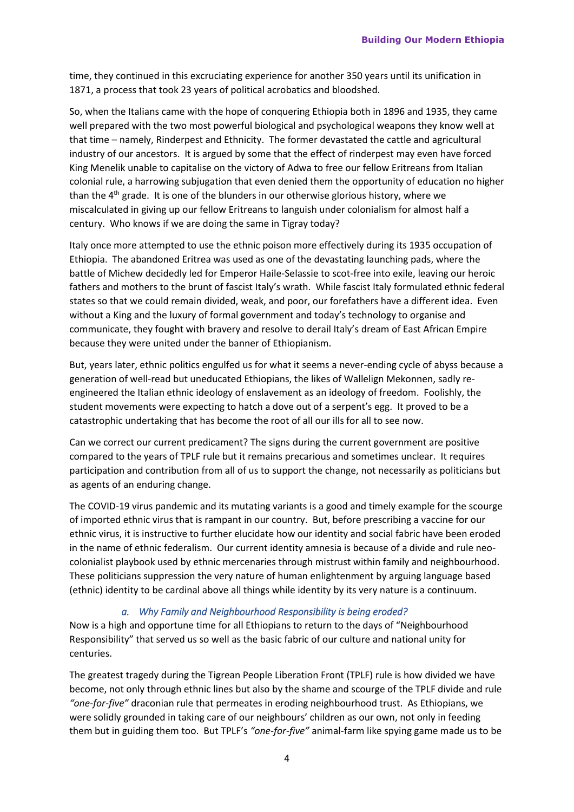time, they continued in this excruciating experience for another 350 years until its unification in 1871, a process that took 23 years of political acrobatics and bloodshed.

So, when the Italians came with the hope of conquering Ethiopia both in 1896 and 1935, they came well prepared with the two most powerful biological and psychological weapons they know well at that time – namely, Rinderpest and Ethnicity. The former devastated the cattle and agricultural industry of our ancestors. It is argued by some that the effect of rinderpest may even have forced King Menelik unable to capitalise on the victory of Adwa to free our fellow Eritreans from Italian colonial rule, a harrowing subjugation that even denied them the opportunity of education no higher than the  $4<sup>th</sup>$  grade. It is one of the blunders in our otherwise glorious history, where we miscalculated in giving up our fellow Eritreans to languish under colonialism for almost half a century. Who knows if we are doing the same in Tigray today?

Italy once more attempted to use the ethnic poison more effectively during its 1935 occupation of Ethiopia. The abandoned Eritrea was used as one of the devastating launching pads, where the battle of Michew decidedly led for Emperor Haile-Selassie to scot-free into exile, leaving our heroic fathers and mothers to the brunt of fascist Italy's wrath. While fascist Italy formulated ethnic federal states so that we could remain divided, weak, and poor, our forefathers have a different idea. Even without a King and the luxury of formal government and today's technology to organise and communicate, they fought with bravery and resolve to derail Italy's dream of East African Empire because they were united under the banner of Ethiopianism.

But, years later, ethnic politics engulfed us for what it seems a never-ending cycle of abyss because a generation of well-read but uneducated Ethiopians, the likes of Wallelign Mekonnen, sadly reengineered the Italian ethnic ideology of enslavement as an ideology of freedom. Foolishly, the student movements were expecting to hatch a dove out of a serpent's egg. It proved to be a catastrophic undertaking that has become the root of all our ills for all to see now.

Can we correct our current predicament? The signs during the current government are positive compared to the years of TPLF rule but it remains precarious and sometimes unclear. It requires participation and contribution from all of us to support the change, not necessarily as politicians but as agents of an enduring change.

The COVID-19 virus pandemic and its mutating variants is a good and timely example for the scourge of imported ethnic virus that is rampant in our country. But, before prescribing a vaccine for our ethnic virus, it is instructive to further elucidate how our identity and social fabric have been eroded in the name of ethnic federalism. Our current identity amnesia is because of a divide and rule neocolonialist playbook used by ethnic mercenaries through mistrust within family and neighbourhood. These politicians suppression the very nature of human enlightenment by arguing language based (ethnic) identity to be cardinal above all things while identity by its very nature is a continuum.

#### *a. Why Family and Neighbourhood Responsibility is being eroded?*

Now is a high and opportune time for all Ethiopians to return to the days of "Neighbourhood Responsibility" that served us so well as the basic fabric of our culture and national unity for centuries.

The greatest tragedy during the Tigrean People Liberation Front (TPLF) rule is how divided we have become, not only through ethnic lines but also by the shame and scourge of the TPLF divide and rule *"one-for-five"* draconian rule that permeates in eroding neighbourhood trust. As Ethiopians, we were solidly grounded in taking care of our neighbours' children as our own, not only in feeding them but in guiding them too. But TPLF's *"one-for-five"* animal-farm like spying game made us to be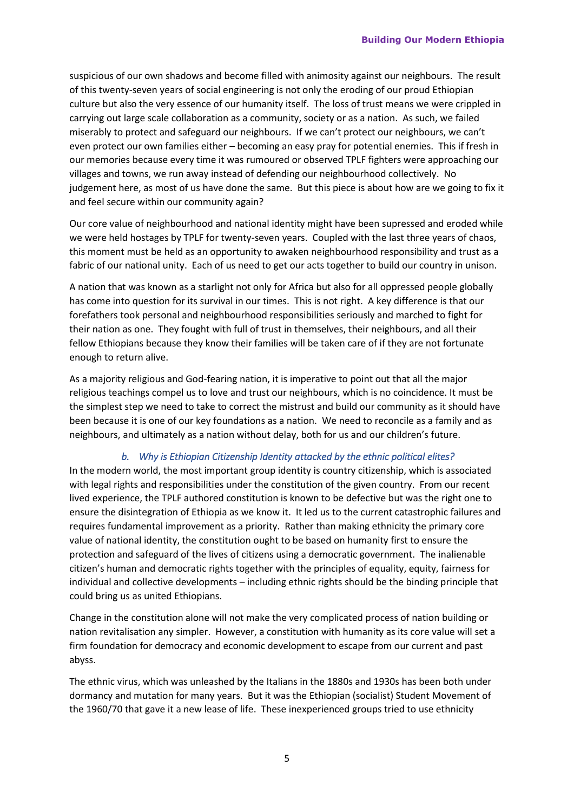suspicious of our own shadows and become filled with animosity against our neighbours. The result of this twenty-seven years of social engineering is not only the eroding of our proud Ethiopian culture but also the very essence of our humanity itself. The loss of trust means we were crippled in carrying out large scale collaboration as a community, society or as a nation. As such, we failed miserably to protect and safeguard our neighbours. If we can't protect our neighbours, we can't even protect our own families either – becoming an easy pray for potential enemies. This if fresh in our memories because every time it was rumoured or observed TPLF fighters were approaching our villages and towns, we run away instead of defending our neighbourhood collectively. No judgement here, as most of us have done the same. But this piece is about how are we going to fix it and feel secure within our community again?

Our core value of neighbourhood and national identity might have been supressed and eroded while we were held hostages by TPLF for twenty-seven years. Coupled with the last three years of chaos, this moment must be held as an opportunity to awaken neighbourhood responsibility and trust as a fabric of our national unity. Each of us need to get our acts together to build our country in unison.

A nation that was known as a starlight not only for Africa but also for all oppressed people globally has come into question for its survival in our times. This is not right. A key difference is that our forefathers took personal and neighbourhood responsibilities seriously and marched to fight for their nation as one. They fought with full of trust in themselves, their neighbours, and all their fellow Ethiopians because they know their families will be taken care of if they are not fortunate enough to return alive.

As a majority religious and God-fearing nation, it is imperative to point out that all the major religious teachings compel us to love and trust our neighbours, which is no coincidence. It must be the simplest step we need to take to correct the mistrust and build our community as it should have been because it is one of our key foundations as a nation. We need to reconcile as a family and as neighbours, and ultimately as a nation without delay, both for us and our children's future.

#### *b. Why is Ethiopian Citizenship Identity attacked by the ethnic political elites?*

In the modern world, the most important group identity is country citizenship, which is associated with legal rights and responsibilities under the constitution of the given country. From our recent lived experience, the TPLF authored constitution is known to be defective but was the right one to ensure the disintegration of Ethiopia as we know it. It led us to the current catastrophic failures and requires fundamental improvement as a priority. Rather than making ethnicity the primary core value of national identity, the constitution ought to be based on humanity first to ensure the protection and safeguard of the lives of citizens using a democratic government. The inalienable citizen's human and democratic rights together with the principles of equality, equity, fairness for individual and collective developments – including ethnic rights should be the binding principle that could bring us as united Ethiopians.

Change in the constitution alone will not make the very complicated process of nation building or nation revitalisation any simpler. However, a constitution with humanity as its core value will set a firm foundation for democracy and economic development to escape from our current and past abyss.

The ethnic virus, which was unleashed by the Italians in the 1880s and 1930s has been both under dormancy and mutation for many years. But it was the Ethiopian (socialist) Student Movement of the 1960/70 that gave it a new lease of life. These inexperienced groups tried to use ethnicity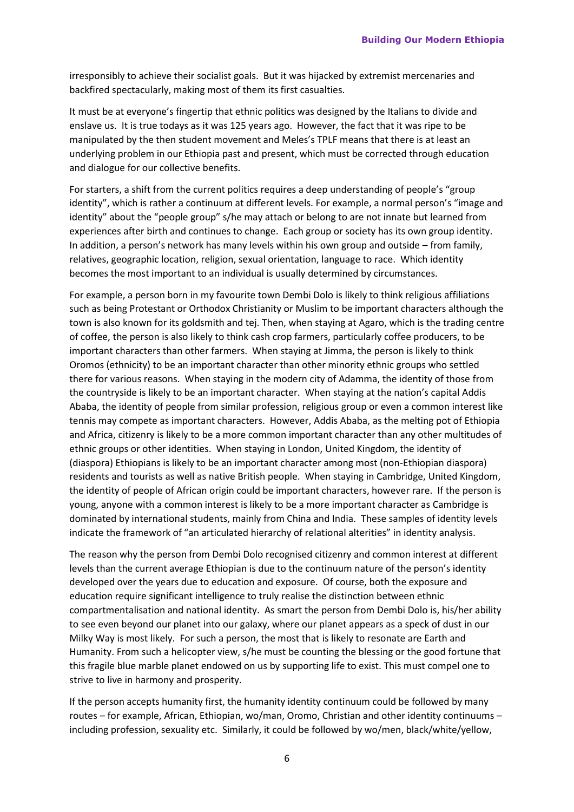irresponsibly to achieve their socialist goals. But it was hijacked by extremist mercenaries and backfired spectacularly, making most of them its first casualties.

It must be at everyone's fingertip that ethnic politics was designed by the Italians to divide and enslave us. It is true todays as it was 125 years ago. However, the fact that it was ripe to be manipulated by the then student movement and Meles's TPLF means that there is at least an underlying problem in our Ethiopia past and present, which must be corrected through education and dialogue for our collective benefits.

For starters, a shift from the current politics requires a deep understanding of people's "group identity", which is rather a continuum at different levels. For example, a normal person's "image and identity" about the "people group" s/he may attach or belong to are not innate but learned from experiences after birth and continues to change. Each group or society has its own group identity. In addition, a person's network has many levels within his own group and outside – from family, relatives, geographic location, religion, sexual orientation, language to race. Which identity becomes the most important to an individual is usually determined by circumstances.

For example, a person born in my favourite town Dembi Dolo is likely to think religious affiliations such as being Protestant or Orthodox Christianity or Muslim to be important characters although the town is also known for its goldsmith and tej. Then, when staying at Agaro, which is the trading centre of coffee, the person is also likely to think cash crop farmers, particularly coffee producers, to be important characters than other farmers. When staying at Jimma, the person is likely to think Oromos (ethnicity) to be an important character than other minority ethnic groups who settled there for various reasons. When staying in the modern city of Adamma, the identity of those from the countryside is likely to be an important character. When staying at the nation's capital Addis Ababa, the identity of people from similar profession, religious group or even a common interest like tennis may compete as important characters. However, Addis Ababa, as the melting pot of Ethiopia and Africa, citizenry is likely to be a more common important character than any other multitudes of ethnic groups or other identities. When staying in London, United Kingdom, the identity of (diaspora) Ethiopians is likely to be an important character among most (non-Ethiopian diaspora) residents and tourists as well as native British people. When staying in Cambridge, United Kingdom, the identity of people of African origin could be important characters, however rare. If the person is young, anyone with a common interest is likely to be a more important character as Cambridge is dominated by international students, mainly from China and India. These samples of identity levels indicate the framework of "an articulated hierarchy of relational alterities" in identity analysis.

The reason why the person from Dembi Dolo recognised citizenry and common interest at different levels than the current average Ethiopian is due to the continuum nature of the person's identity developed over the years due to education and exposure. Of course, both the exposure and education require significant intelligence to truly realise the distinction between ethnic compartmentalisation and national identity. As smart the person from Dembi Dolo is, his/her ability to see even beyond our planet into our galaxy, where our planet appears as a speck of dust in our Milky Way is most likely. For such a person, the most that is likely to resonate are Earth and Humanity. From such a helicopter view, s/he must be counting the blessing or the good fortune that this fragile blue marble planet endowed on us by supporting life to exist. This must compel one to strive to live in harmony and prosperity.

If the person accepts humanity first, the humanity identity continuum could be followed by many routes – for example, African, Ethiopian, wo/man, Oromo, Christian and other identity continuums – including profession, sexuality etc. Similarly, it could be followed by wo/men, black/white/yellow,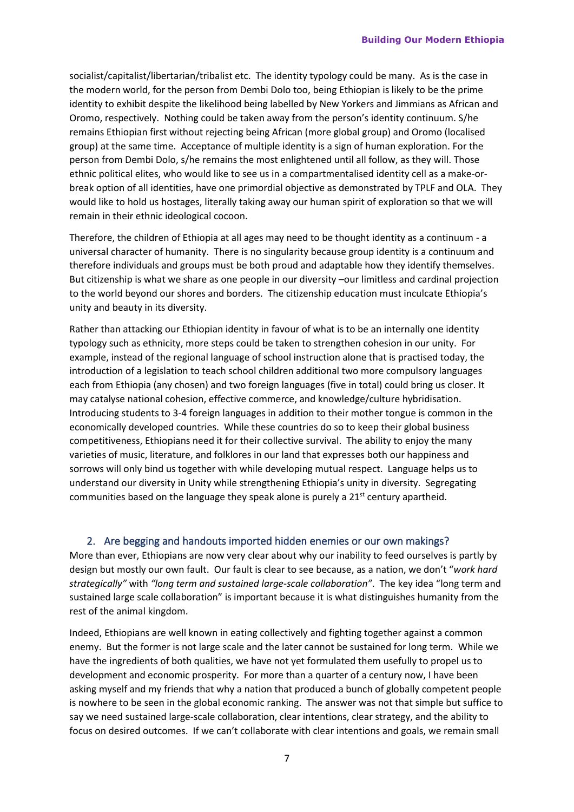socialist/capitalist/libertarian/tribalist etc. The identity typology could be many. As is the case in the modern world, for the person from Dembi Dolo too, being Ethiopian is likely to be the prime identity to exhibit despite the likelihood being labelled by New Yorkers and Jimmians as African and Oromo, respectively. Nothing could be taken away from the person's identity continuum. S/he remains Ethiopian first without rejecting being African (more global group) and Oromo (localised group) at the same time. Acceptance of multiple identity is a sign of human exploration. For the person from Dembi Dolo, s/he remains the most enlightened until all follow, as they will. Those ethnic political elites, who would like to see us in a compartmentalised identity cell as a make-orbreak option of all identities, have one primordial objective as demonstrated by TPLF and OLA. They would like to hold us hostages, literally taking away our human spirit of exploration so that we will remain in their ethnic ideological cocoon.

Therefore, the children of Ethiopia at all ages may need to be thought identity as a continuum - a universal character of humanity. There is no singularity because group identity is a continuum and therefore individuals and groups must be both proud and adaptable how they identify themselves. But citizenship is what we share as one people in our diversity –our limitless and cardinal projection to the world beyond our shores and borders. The citizenship education must inculcate Ethiopia's unity and beauty in its diversity.

Rather than attacking our Ethiopian identity in favour of what is to be an internally one identity typology such as ethnicity, more steps could be taken to strengthen cohesion in our unity. For example, instead of the regional language of school instruction alone that is practised today, the introduction of a legislation to teach school children additional two more compulsory languages each from Ethiopia (any chosen) and two foreign languages (five in total) could bring us closer. It may catalyse national cohesion, effective commerce, and knowledge/culture hybridisation. Introducing students to 3-4 foreign languages in addition to their mother tongue is common in the economically developed countries. While these countries do so to keep their global business competitiveness, Ethiopians need it for their collective survival. The ability to enjoy the many varieties of music, literature, and folklores in our land that expresses both our happiness and sorrows will only bind us together with while developing mutual respect. Language helps us to understand our diversity in Unity while strengthening Ethiopia's unity in diversity. Segregating communities based on the language they speak alone is purely a  $21<sup>st</sup>$  century apartheid.

#### 2. Are begging and handouts imported hidden enemies or our own makings?

More than ever, Ethiopians are now very clear about why our inability to feed ourselves is partly by design but mostly our own fault. Our fault is clear to see because, as a nation, we don't "*work hard strategically"* with *"long term and sustained large-scale collaboration"*. The key idea "long term and sustained large scale collaboration" is important because it is what distinguishes humanity from the rest of the animal kingdom.

Indeed, Ethiopians are well known in eating collectively and fighting together against a common enemy. But the former is not large scale and the later cannot be sustained for long term. While we have the ingredients of both qualities, we have not yet formulated them usefully to propel us to development and economic prosperity. For more than a quarter of a century now, I have been asking myself and my friends that why a nation that produced a bunch of globally competent people is nowhere to be seen in the global economic ranking. The answer was not that simple but suffice to say we need sustained large-scale collaboration, clear intentions, clear strategy, and the ability to focus on desired outcomes. If we can't collaborate with clear intentions and goals, we remain small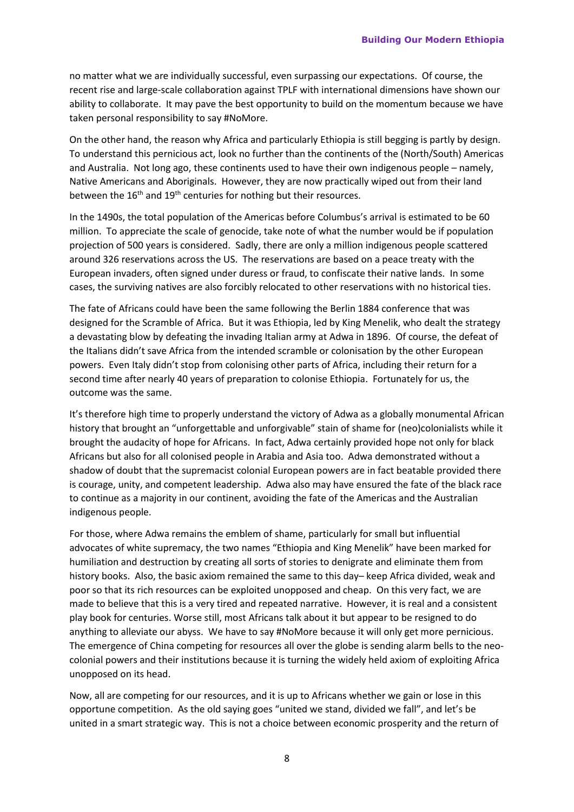no matter what we are individually successful, even surpassing our expectations. Of course, the recent rise and large-scale collaboration against TPLF with international dimensions have shown our ability to collaborate. It may pave the best opportunity to build on the momentum because we have taken personal responsibility to say #NoMore.

On the other hand, the reason why Africa and particularly Ethiopia is still begging is partly by design. To understand this pernicious act, look no further than the continents of the (North/South) Americas and Australia. Not long ago, these continents used to have their own indigenous people – namely, Native Americans and Aboriginals. However, they are now practically wiped out from their land between the  $16<sup>th</sup>$  and  $19<sup>th</sup>$  centuries for nothing but their resources.

In the 1490s, the total population of the Americas before Columbus's arrival is estimated to be 60 million. To appreciate the scale of genocide, take note of what the number would be if population projection of 500 years is considered. Sadly, there are only a million indigenous people scattered around 326 reservations across the US. The reservations are based on a peace treaty with the European invaders, often signed under duress or fraud, to confiscate their native lands. In some cases, the surviving natives are also forcibly relocated to other reservations with no historical ties.

The fate of Africans could have been the same following the Berlin 1884 conference that was designed for the Scramble of Africa. But it was Ethiopia, led by King Menelik, who dealt the strategy a devastating blow by defeating the invading Italian army at Adwa in 1896. Of course, the defeat of the Italians didn't save Africa from the intended scramble or colonisation by the other European powers. Even Italy didn't stop from colonising other parts of Africa, including their return for a second time after nearly 40 years of preparation to colonise Ethiopia. Fortunately for us, the outcome was the same.

It's therefore high time to properly understand the victory of Adwa as a globally monumental African history that brought an "unforgettable and unforgivable" stain of shame for (neo)colonialists while it brought the audacity of hope for Africans. In fact, Adwa certainly provided hope not only for black Africans but also for all colonised people in Arabia and Asia too. Adwa demonstrated without a shadow of doubt that the supremacist colonial European powers are in fact beatable provided there is courage, unity, and competent leadership. Adwa also may have ensured the fate of the black race to continue as a majority in our continent, avoiding the fate of the Americas and the Australian indigenous people.

For those, where Adwa remains the emblem of shame, particularly for small but influential advocates of white supremacy, the two names "Ethiopia and King Menelik" have been marked for humiliation and destruction by creating all sorts of stories to denigrate and eliminate them from history books. Also, the basic axiom remained the same to this day– keep Africa divided, weak and poor so that its rich resources can be exploited unopposed and cheap. On this very fact, we are made to believe that this is a very tired and repeated narrative. However, it is real and a consistent play book for centuries. Worse still, most Africans talk about it but appear to be resigned to do anything to alleviate our abyss. We have to say #NoMore because it will only get more pernicious. The emergence of China competing for resources all over the globe is sending alarm bells to the neocolonial powers and their institutions because it is turning the widely held axiom of exploiting Africa unopposed on its head.

Now, all are competing for our resources, and it is up to Africans whether we gain or lose in this opportune competition. As the old saying goes "united we stand, divided we fall", and let's be united in a smart strategic way. This is not a choice between economic prosperity and the return of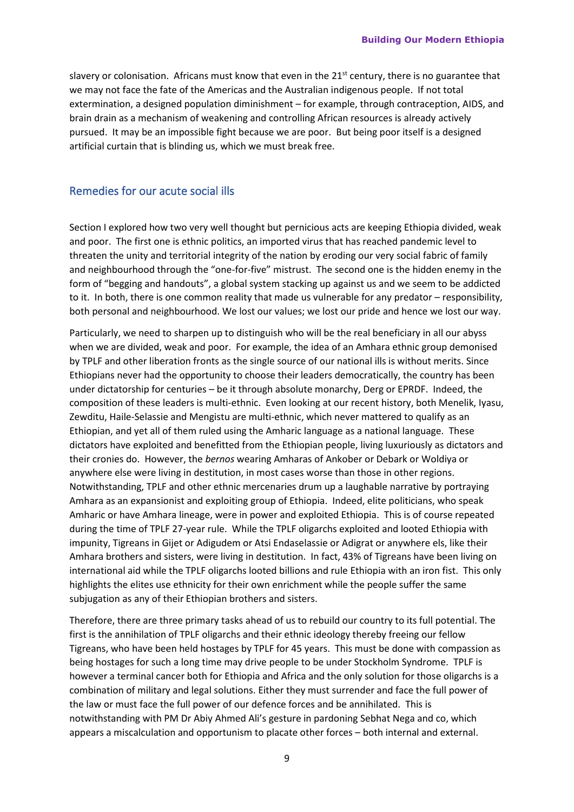slavery or colonisation. Africans must know that even in the  $21<sup>st</sup>$  century, there is no guarantee that we may not face the fate of the Americas and the Australian indigenous people. If not total extermination, a designed population diminishment – for example, through contraception, AIDS, and brain drain as a mechanism of weakening and controlling African resources is already actively pursued. It may be an impossible fight because we are poor. But being poor itself is a designed artificial curtain that is blinding us, which we must break free.

### Remedies for our acute social ills

Section I explored how two very well thought but pernicious acts are keeping Ethiopia divided, weak and poor. The first one is ethnic politics, an imported virus that has reached pandemic level to threaten the unity and territorial integrity of the nation by eroding our very social fabric of family and neighbourhood through the "one-for-five" mistrust. The second one is the hidden enemy in the form of "begging and handouts", a global system stacking up against us and we seem to be addicted to it. In both, there is one common reality that made us vulnerable for any predator – responsibility, both personal and neighbourhood. We lost our values; we lost our pride and hence we lost our way.

Particularly, we need to sharpen up to distinguish who will be the real beneficiary in all our abyss when we are divided, weak and poor. For example, the idea of an Amhara ethnic group demonised by TPLF and other liberation fronts as the single source of our national ills is without merits. Since Ethiopians never had the opportunity to choose their leaders democratically, the country has been under dictatorship for centuries – be it through absolute monarchy, Derg or EPRDF. Indeed, the composition of these leaders is multi-ethnic. Even looking at our recent history, both Menelik, Iyasu, Zewditu, Haile-Selassie and Mengistu are multi-ethnic, which never mattered to qualify as an Ethiopian, and yet all of them ruled using the Amharic language as a national language. These dictators have exploited and benefitted from the Ethiopian people, living luxuriously as dictators and their cronies do. However, the *bernos* wearing Amharas of Ankober or Debark or Woldiya or anywhere else were living in destitution, in most cases worse than those in other regions. Notwithstanding, TPLF and other ethnic mercenaries drum up a laughable narrative by portraying Amhara as an expansionist and exploiting group of Ethiopia. Indeed, elite politicians, who speak Amharic or have Amhara lineage, were in power and exploited Ethiopia. This is of course repeated during the time of TPLF 27-year rule. While the TPLF oligarchs exploited and looted Ethiopia with impunity, Tigreans in Gijet or Adigudem or Atsi Endaselassie or Adigrat or anywhere els, like their Amhara brothers and sisters, were living in destitution. In fact, 43% of Tigreans have been living on international aid while the TPLF oligarchs looted billions and rule Ethiopia with an iron fist. This only highlights the elites use ethnicity for their own enrichment while the people suffer the same subjugation as any of their Ethiopian brothers and sisters.

Therefore, there are three primary tasks ahead of us to rebuild our country to its full potential. The first is the annihilation of TPLF oligarchs and their ethnic ideology thereby freeing our fellow Tigreans, who have been held hostages by TPLF for 45 years. This must be done with compassion as being hostages for such a long time may drive people to be under Stockholm Syndrome. TPLF is however a terminal cancer both for Ethiopia and Africa and the only solution for those oligarchs is a combination of military and legal solutions. Either they must surrender and face the full power of the law or must face the full power of our defence forces and be annihilated. This is notwithstanding with PM Dr Abiy Ahmed Ali's gesture in pardoning Sebhat Nega and co, which appears a miscalculation and opportunism to placate other forces – both internal and external.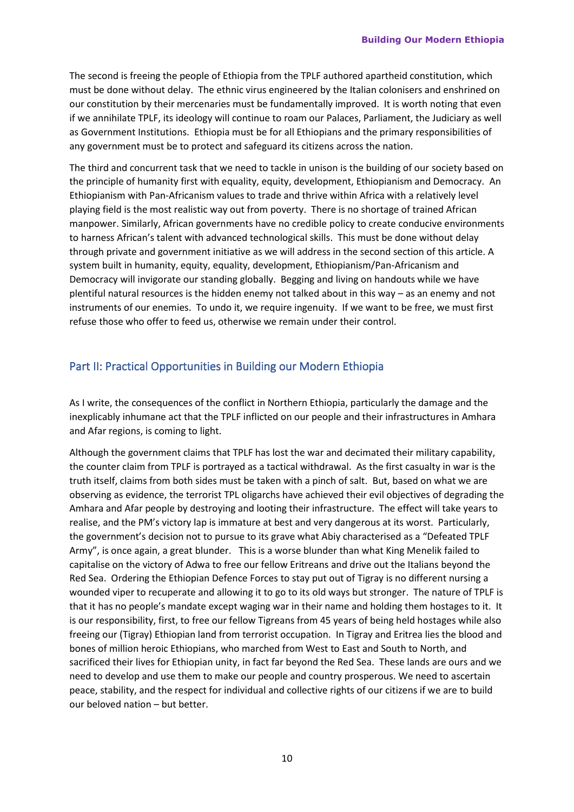The second is freeing the people of Ethiopia from the TPLF authored apartheid constitution, which must be done without delay. The ethnic virus engineered by the Italian colonisers and enshrined on our constitution by their mercenaries must be fundamentally improved. It is worth noting that even if we annihilate TPLF, its ideology will continue to roam our Palaces, Parliament, the Judiciary as well as Government Institutions. Ethiopia must be for all Ethiopians and the primary responsibilities of any government must be to protect and safeguard its citizens across the nation.

The third and concurrent task that we need to tackle in unison is the building of our society based on the principle of humanity first with equality, equity, development, Ethiopianism and Democracy. An Ethiopianism with Pan-Africanism values to trade and thrive within Africa with a relatively level playing field is the most realistic way out from poverty. There is no shortage of trained African manpower. Similarly, African governments have no credible policy to create conducive environments to harness African's talent with advanced technological skills. This must be done without delay through private and government initiative as we will address in the second section of this article. A system built in humanity, equity, equality, development, Ethiopianism/Pan-Africanism and Democracy will invigorate our standing globally. Begging and living on handouts while we have plentiful natural resources is the hidden enemy not talked about in this way – as an enemy and not instruments of our enemies. To undo it, we require ingenuity. If we want to be free, we must first refuse those who offer to feed us, otherwise we remain under their control.

# Part II: Practical Opportunities in Building our Modern Ethiopia

As I write, the consequences of the conflict in Northern Ethiopia, particularly the damage and the inexplicably inhumane act that the TPLF inflicted on our people and their infrastructures in Amhara and Afar regions, is coming to light.

Although the government claims that TPLF has lost the war and decimated their military capability, the counter claim from TPLF is portrayed as a tactical withdrawal. As the first casualty in war is the truth itself, claims from both sides must be taken with a pinch of salt. But, based on what we are observing as evidence, the terrorist TPL oligarchs have achieved their evil objectives of degrading the Amhara and Afar people by destroying and looting their infrastructure. The effect will take years to realise, and the PM's victory lap is immature at best and very dangerous at its worst. Particularly, the government's decision not to pursue to its grave what Abiy characterised as a "Defeated TPLF Army", is once again, a great blunder. This is a worse blunder than what King Menelik failed to capitalise on the victory of Adwa to free our fellow Eritreans and drive out the Italians beyond the Red Sea. Ordering the Ethiopian Defence Forces to stay put out of Tigray is no different nursing a wounded viper to recuperate and allowing it to go to its old ways but stronger. The nature of TPLF is that it has no people's mandate except waging war in their name and holding them hostages to it. It is our responsibility, first, to free our fellow Tigreans from 45 years of being held hostages while also freeing our (Tigray) Ethiopian land from terrorist occupation. In Tigray and Eritrea lies the blood and bones of million heroic Ethiopians, who marched from West to East and South to North, and sacrificed their lives for Ethiopian unity, in fact far beyond the Red Sea. These lands are ours and we need to develop and use them to make our people and country prosperous. We need to ascertain peace, stability, and the respect for individual and collective rights of our citizens if we are to build our beloved nation – but better.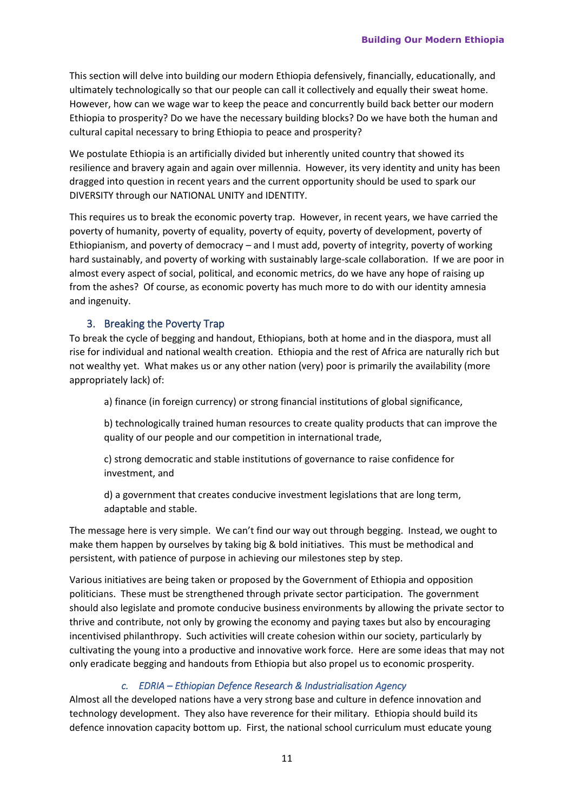This section will delve into building our modern Ethiopia defensively, financially, educationally, and ultimately technologically so that our people can call it collectively and equally their sweat home. However, how can we wage war to keep the peace and concurrently build back better our modern Ethiopia to prosperity? Do we have the necessary building blocks? Do we have both the human and cultural capital necessary to bring Ethiopia to peace and prosperity?

We postulate Ethiopia is an artificially divided but inherently united country that showed its resilience and bravery again and again over millennia. However, its very identity and unity has been dragged into question in recent years and the current opportunity should be used to spark our DIVERSITY through our NATIONAL UNITY and IDENTITY.

This requires us to break the economic poverty trap. However, in recent years, we have carried the poverty of humanity, poverty of equality, poverty of equity, poverty of development, poverty of Ethiopianism, and poverty of democracy – and I must add, poverty of integrity, poverty of working hard sustainably, and poverty of working with sustainably large-scale collaboration. If we are poor in almost every aspect of social, political, and economic metrics, do we have any hope of raising up from the ashes? Of course, as economic poverty has much more to do with our identity amnesia and ingenuity.

#### 3. Breaking the Poverty Trap

To break the cycle of begging and handout, Ethiopians, both at home and in the diaspora, must all rise for individual and national wealth creation. Ethiopia and the rest of Africa are naturally rich but not wealthy yet. What makes us or any other nation (very) poor is primarily the availability (more appropriately lack) of:

a) finance (in foreign currency) or strong financial institutions of global significance,

b) technologically trained human resources to create quality products that can improve the quality of our people and our competition in international trade,

c) strong democratic and stable institutions of governance to raise confidence for investment, and

d) a government that creates conducive investment legislations that are long term, adaptable and stable.

The message here is very simple. We can't find our way out through begging. Instead, we ought to make them happen by ourselves by taking big & bold initiatives. This must be methodical and persistent, with patience of purpose in achieving our milestones step by step.

Various initiatives are being taken or proposed by the Government of Ethiopia and opposition politicians. These must be strengthened through private sector participation. The government should also legislate and promote conducive business environments by allowing the private sector to thrive and contribute, not only by growing the economy and paying taxes but also by encouraging incentivised philanthropy. Such activities will create cohesion within our society, particularly by cultivating the young into a productive and innovative work force. Here are some ideas that may not only eradicate begging and handouts from Ethiopia but also propel us to economic prosperity.

#### *c. EDRIA – Ethiopian Defence Research & Industrialisation Agency*

Almost all the developed nations have a very strong base and culture in defence innovation and technology development. They also have reverence for their military. Ethiopia should build its defence innovation capacity bottom up. First, the national school curriculum must educate young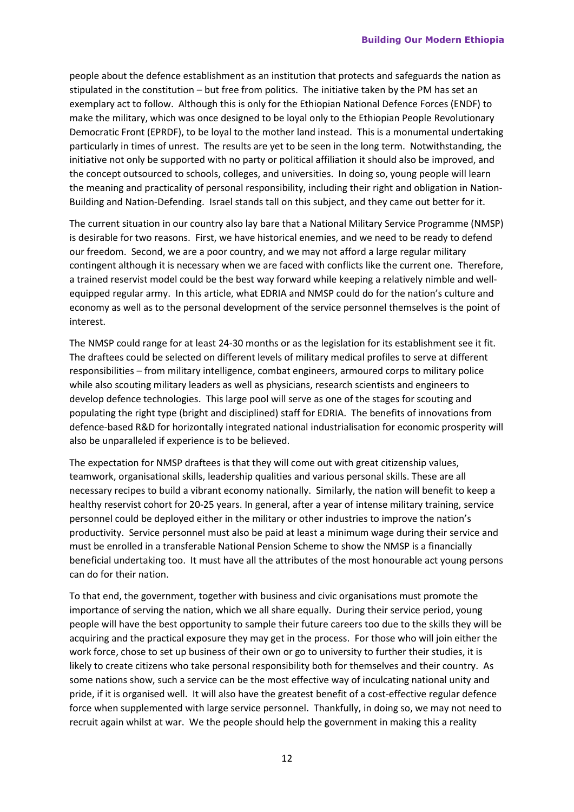people about the defence establishment as an institution that protects and safeguards the nation as stipulated in the constitution – but free from politics. The initiative taken by the PM has set an exemplary act to follow. Although this is only for the Ethiopian National Defence Forces (ENDF) to make the military, which was once designed to be loyal only to the Ethiopian People Revolutionary Democratic Front (EPRDF), to be loyal to the mother land instead. This is a monumental undertaking particularly in times of unrest. The results are yet to be seen in the long term. Notwithstanding, the initiative not only be supported with no party or political affiliation it should also be improved, and the concept outsourced to schools, colleges, and universities. In doing so, young people will learn the meaning and practicality of personal responsibility, including their right and obligation in Nation-Building and Nation-Defending. Israel stands tall on this subject, and they came out better for it.

The current situation in our country also lay bare that a National Military Service Programme (NMSP) is desirable for two reasons. First, we have historical enemies, and we need to be ready to defend our freedom. Second, we are a poor country, and we may not afford a large regular military contingent although it is necessary when we are faced with conflicts like the current one. Therefore, a trained reservist model could be the best way forward while keeping a relatively nimble and wellequipped regular army. In this article, what EDRIA and NMSP could do for the nation's culture and economy as well as to the personal development of the service personnel themselves is the point of interest.

The NMSP could range for at least 24-30 months or as the legislation for its establishment see it fit. The draftees could be selected on different levels of military medical profiles to serve at different responsibilities – from military intelligence, combat engineers, armoured corps to military police while also scouting military leaders as well as physicians, research scientists and engineers to develop defence technologies. This large pool will serve as one of the stages for scouting and populating the right type (bright and disciplined) staff for EDRIA. The benefits of innovations from defence-based R&D for horizontally integrated national industrialisation for economic prosperity will also be unparalleled if experience is to be believed.

The expectation for NMSP draftees is that they will come out with great citizenship values, teamwork, organisational skills, leadership qualities and various personal skills. These are all necessary recipes to build a vibrant economy nationally. Similarly, the nation will benefit to keep a healthy reservist cohort for 20-25 years. In general, after a year of intense military training, service personnel could be deployed either in the military or other industries to improve the nation's productivity. Service personnel must also be paid at least a minimum wage during their service and must be enrolled in a transferable National Pension Scheme to show the NMSP is a financially beneficial undertaking too. It must have all the attributes of the most honourable act young persons can do for their nation.

To that end, the government, together with business and civic organisations must promote the importance of serving the nation, which we all share equally. During their service period, young people will have the best opportunity to sample their future careers too due to the skills they will be acquiring and the practical exposure they may get in the process. For those who will join either the work force, chose to set up business of their own or go to university to further their studies, it is likely to create citizens who take personal responsibility both for themselves and their country. As some nations show, such a service can be the most effective way of inculcating national unity and pride, if it is organised well. It will also have the greatest benefit of a cost-effective regular defence force when supplemented with large service personnel. Thankfully, in doing so, we may not need to recruit again whilst at war. We the people should help the government in making this a reality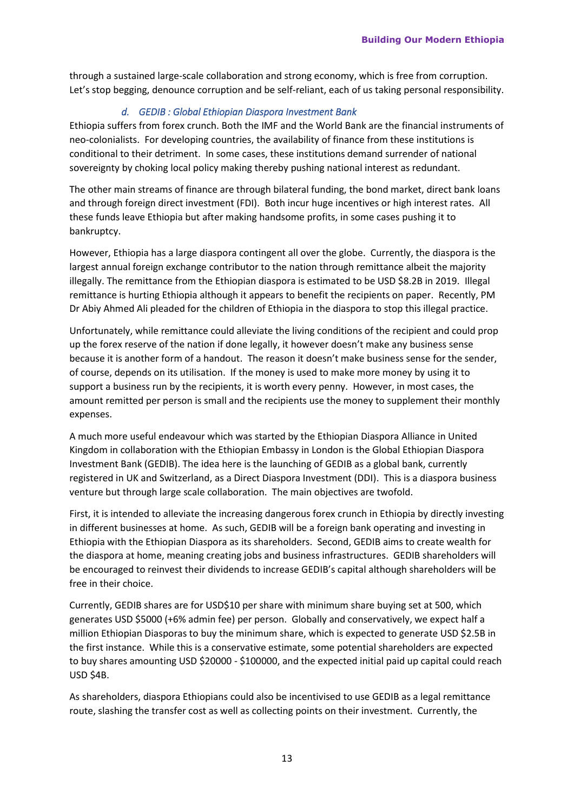through a sustained large-scale collaboration and strong economy, which is free from corruption. Let's stop begging, denounce corruption and be self-reliant, each of us taking personal responsibility.

# *d. GEDIB : Global Ethiopian Diaspora Investment Bank*

Ethiopia suffers from forex crunch. Both the IMF and the World Bank are the financial instruments of neo-colonialists. For developing countries, the availability of finance from these institutions is conditional to their detriment. In some cases, these institutions demand surrender of national sovereignty by choking local policy making thereby pushing national interest as redundant.

The other main streams of finance are through bilateral funding, the bond market, direct bank loans and through foreign direct investment (FDI). Both incur huge incentives or high interest rates. All these funds leave Ethiopia but after making handsome profits, in some cases pushing it to bankruptcy.

However, Ethiopia has a large diaspora contingent all over the globe. Currently, the diaspora is the largest annual foreign exchange contributor to the nation through remittance albeit the majority illegally. The remittance from the Ethiopian diaspora is estimated to be USD \$8.2B in 2019. Illegal remittance is hurting Ethiopia although it appears to benefit the recipients on paper. Recently, PM Dr Abiy Ahmed Ali pleaded for the children of Ethiopia in the diaspora to stop this illegal practice.

Unfortunately, while remittance could alleviate the living conditions of the recipient and could prop up the forex reserve of the nation if done legally, it however doesn't make any business sense because it is another form of a handout. The reason it doesn't make business sense for the sender, of course, depends on its utilisation. If the money is used to make more money by using it to support a business run by the recipients, it is worth every penny. However, in most cases, the amount remitted per person is small and the recipients use the money to supplement their monthly expenses.

A much more useful endeavour which was started by the Ethiopian Diaspora Alliance in United Kingdom in collaboration with the Ethiopian Embassy in London is the Global Ethiopian Diaspora Investment Bank (GEDIB). The idea here is the launching of GEDIB as a global bank, currently registered in UK and Switzerland, as a Direct Diaspora Investment (DDI). This is a diaspora business venture but through large scale collaboration. The main objectives are twofold.

First, it is intended to alleviate the increasing dangerous forex crunch in Ethiopia by directly investing in different businesses at home. As such, GEDIB will be a foreign bank operating and investing in Ethiopia with the Ethiopian Diaspora as its shareholders. Second, GEDIB aims to create wealth for the diaspora at home, meaning creating jobs and business infrastructures. GEDIB shareholders will be encouraged to reinvest their dividends to increase GEDIB's capital although shareholders will be free in their choice.

Currently, GEDIB shares are for USD\$10 per share with minimum share buying set at 500, which generates USD \$5000 (+6% admin fee) per person. Globally and conservatively, we expect half a million Ethiopian Diasporas to buy the minimum share, which is expected to generate USD \$2.5B in the first instance. While this is a conservative estimate, some potential shareholders are expected to buy shares amounting USD \$20000 - \$100000, and the expected initial paid up capital could reach USD \$4B.

As shareholders, diaspora Ethiopians could also be incentivised to use GEDIB as a legal remittance route, slashing the transfer cost as well as collecting points on their investment. Currently, the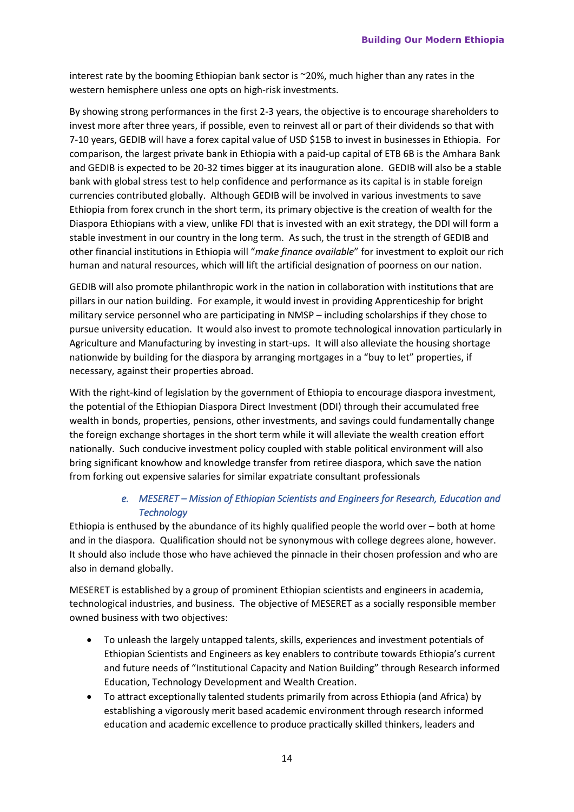interest rate by the booming Ethiopian bank sector is ~20%, much higher than any rates in the western hemisphere unless one opts on high-risk investments.

By showing strong performances in the first 2-3 years, the objective is to encourage shareholders to invest more after three years, if possible, even to reinvest all or part of their dividends so that with 7-10 years, GEDIB will have a forex capital value of USD \$15B to invest in businesses in Ethiopia. For comparison, the largest private bank in Ethiopia with a paid-up capital of ETB 6B is the Amhara Bank and GEDIB is expected to be 20-32 times bigger at its inauguration alone. GEDIB will also be a stable bank with global stress test to help confidence and performance as its capital is in stable foreign currencies contributed globally. Although GEDIB will be involved in various investments to save Ethiopia from forex crunch in the short term, its primary objective is the creation of wealth for the Diaspora Ethiopians with a view, unlike FDI that is invested with an exit strategy, the DDI will form a stable investment in our country in the long term. As such, the trust in the strength of GEDIB and other financial institutions in Ethiopia will "*make finance available*" for investment to exploit our rich human and natural resources, which will lift the artificial designation of poorness on our nation.

GEDIB will also promote philanthropic work in the nation in collaboration with institutions that are pillars in our nation building. For example, it would invest in providing Apprenticeship for bright military service personnel who are participating in NMSP – including scholarships if they chose to pursue university education. It would also invest to promote technological innovation particularly in Agriculture and Manufacturing by investing in start-ups. It will also alleviate the housing shortage nationwide by building for the diaspora by arranging mortgages in a "buy to let" properties, if necessary, against their properties abroad.

With the right-kind of legislation by the government of Ethiopia to encourage diaspora investment, the potential of the Ethiopian Diaspora Direct Investment (DDI) through their accumulated free wealth in bonds, properties, pensions, other investments, and savings could fundamentally change the foreign exchange shortages in the short term while it will alleviate the wealth creation effort nationally. Such conducive investment policy coupled with stable political environment will also bring significant knowhow and knowledge transfer from retiree diaspora, which save the nation from forking out expensive salaries for similar expatriate consultant professionals

## *e. MESERET – Mission of Ethiopian Scientists and Engineers for Research, Education and Technology*

Ethiopia is enthused by the abundance of its highly qualified people the world over – both at home and in the diaspora. Qualification should not be synonymous with college degrees alone, however. It should also include those who have achieved the pinnacle in their chosen profession and who are also in demand globally.

MESERET is established by a group of prominent Ethiopian scientists and engineers in academia, technological industries, and business. The objective of MESERET as a socially responsible member owned business with two objectives:

- To unleash the largely untapped talents, skills, experiences and investment potentials of Ethiopian Scientists and Engineers as key enablers to contribute towards Ethiopia's current and future needs of "Institutional Capacity and Nation Building" through Research informed Education, Technology Development and Wealth Creation.
- To attract exceptionally talented students primarily from across Ethiopia (and Africa) by establishing a vigorously merit based academic environment through research informed education and academic excellence to produce practically skilled thinkers, leaders and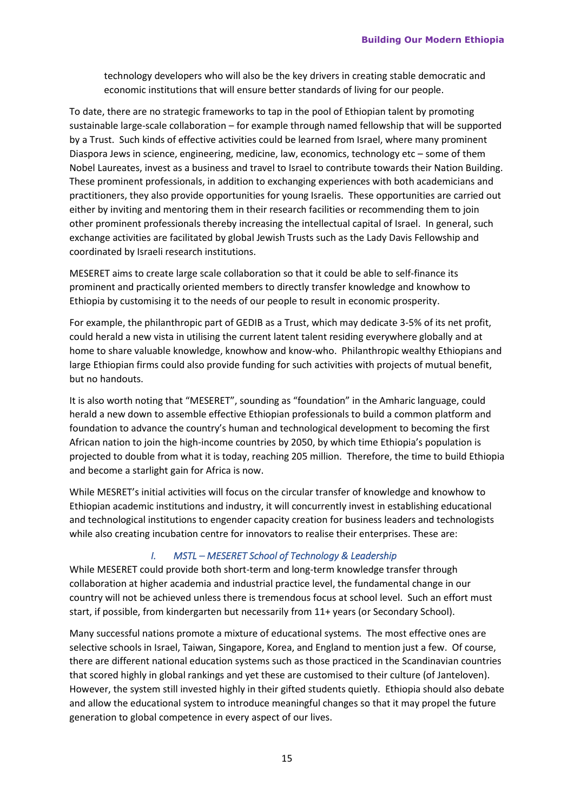technology developers who will also be the key drivers in creating stable democratic and economic institutions that will ensure better standards of living for our people.

To date, there are no strategic frameworks to tap in the pool of Ethiopian talent by promoting sustainable large-scale collaboration – for example through named fellowship that will be supported by a Trust. Such kinds of effective activities could be learned from Israel, where many prominent Diaspora Jews in science, engineering, medicine, law, economics, technology etc – some of them Nobel Laureates, invest as a business and travel to Israel to contribute towards their Nation Building. These prominent professionals, in addition to exchanging experiences with both academicians and practitioners, they also provide opportunities for young Israelis. These opportunities are carried out either by inviting and mentoring them in their research facilities or recommending them to join other prominent professionals thereby increasing the intellectual capital of Israel. In general, such exchange activities are facilitated by global Jewish Trusts such as the Lady Davis Fellowship and coordinated by Israeli research institutions.

MESERET aims to create large scale collaboration so that it could be able to self-finance its prominent and practically oriented members to directly transfer knowledge and knowhow to Ethiopia by customising it to the needs of our people to result in economic prosperity.

For example, the philanthropic part of GEDIB as a Trust, which may dedicate 3-5% of its net profit, could herald a new vista in utilising the current latent talent residing everywhere globally and at home to share valuable knowledge, knowhow and know-who. Philanthropic wealthy Ethiopians and large Ethiopian firms could also provide funding for such activities with projects of mutual benefit, but no handouts.

It is also worth noting that "MESERET", sounding as "foundation" in the Amharic language, could herald a new down to assemble effective Ethiopian professionals to build a common platform and foundation to advance the country's human and technological development to becoming the first African nation to join the high-income countries by 2050, by which time Ethiopia's population is projected to double from what it is today, reaching 205 million. Therefore, the time to build Ethiopia and become a starlight gain for Africa is now.

While MESRET's initial activities will focus on the circular transfer of knowledge and knowhow to Ethiopian academic institutions and industry, it will concurrently invest in establishing educational and technological institutions to engender capacity creation for business leaders and technologists while also creating incubation centre for innovators to realise their enterprises. These are:

#### *I. MSTL – MESERET School of Technology & Leadership*

While MESERET could provide both short-term and long-term knowledge transfer through collaboration at higher academia and industrial practice level, the fundamental change in our country will not be achieved unless there is tremendous focus at school level. Such an effort must start, if possible, from kindergarten but necessarily from 11+ years (or Secondary School).

Many successful nations promote a mixture of educational systems. The most effective ones are selective schools in Israel, Taiwan, Singapore, Korea, and England to mention just a few. Of course, there are different national education systems such as those practiced in the Scandinavian countries that scored highly in global rankings and yet these are customised to their culture (of Janteloven). However, the system still invested highly in their gifted students quietly. Ethiopia should also debate and allow the educational system to introduce meaningful changes so that it may propel the future generation to global competence in every aspect of our lives.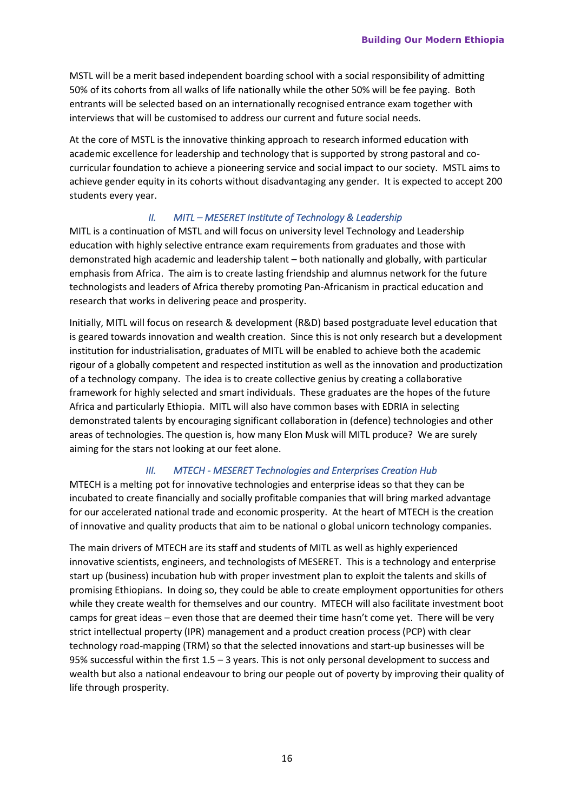MSTL will be a merit based independent boarding school with a social responsibility of admitting 50% of its cohorts from all walks of life nationally while the other 50% will be fee paying. Both entrants will be selected based on an internationally recognised entrance exam together with interviews that will be customised to address our current and future social needs.

At the core of MSTL is the innovative thinking approach to research informed education with academic excellence for leadership and technology that is supported by strong pastoral and cocurricular foundation to achieve a pioneering service and social impact to our society. MSTL aims to achieve gender equity in its cohorts without disadvantaging any gender. It is expected to accept 200 students every year.

#### *II. MITL – MESERET Institute of Technology & Leadership*

MITL is a continuation of MSTL and will focus on university level Technology and Leadership education with highly selective entrance exam requirements from graduates and those with demonstrated high academic and leadership talent – both nationally and globally, with particular emphasis from Africa. The aim is to create lasting friendship and alumnus network for the future technologists and leaders of Africa thereby promoting Pan-Africanism in practical education and research that works in delivering peace and prosperity.

Initially, MITL will focus on research & development (R&D) based postgraduate level education that is geared towards innovation and wealth creation. Since this is not only research but a development institution for industrialisation, graduates of MITL will be enabled to achieve both the academic rigour of a globally competent and respected institution as well as the innovation and productization of a technology company. The idea is to create collective genius by creating a collaborative framework for highly selected and smart individuals. These graduates are the hopes of the future Africa and particularly Ethiopia. MITL will also have common bases with EDRIA in selecting demonstrated talents by encouraging significant collaboration in (defence) technologies and other areas of technologies. The question is, how many Elon Musk will MITL produce? We are surely aiming for the stars not looking at our feet alone.

#### *III. MTECH - MESERET Technologies and Enterprises Creation Hub*

MTECH is a melting pot for innovative technologies and enterprise ideas so that they can be incubated to create financially and socially profitable companies that will bring marked advantage for our accelerated national trade and economic prosperity. At the heart of MTECH is the creation of innovative and quality products that aim to be national o global unicorn technology companies.

The main drivers of MTECH are its staff and students of MITL as well as highly experienced innovative scientists, engineers, and technologists of MESERET. This is a technology and enterprise start up (business) incubation hub with proper investment plan to exploit the talents and skills of promising Ethiopians. In doing so, they could be able to create employment opportunities for others while they create wealth for themselves and our country. MTECH will also facilitate investment boot camps for great ideas – even those that are deemed their time hasn't come yet. There will be very strict intellectual property (IPR) management and a product creation process (PCP) with clear technology road-mapping (TRM) so that the selected innovations and start-up businesses will be 95% successful within the first 1.5 – 3 years. This is not only personal development to success and wealth but also a national endeavour to bring our people out of poverty by improving their quality of life through prosperity.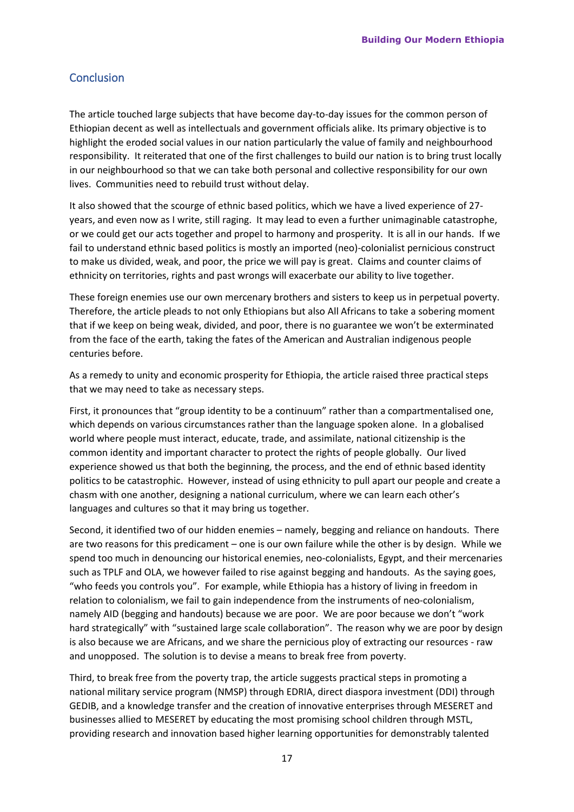# **Conclusion**

The article touched large subjects that have become day-to-day issues for the common person of Ethiopian decent as well as intellectuals and government officials alike. Its primary objective is to highlight the eroded social values in our nation particularly the value of family and neighbourhood responsibility. It reiterated that one of the first challenges to build our nation is to bring trust locally in our neighbourhood so that we can take both personal and collective responsibility for our own lives. Communities need to rebuild trust without delay.

It also showed that the scourge of ethnic based politics, which we have a lived experience of 27 years, and even now as I write, still raging. It may lead to even a further unimaginable catastrophe, or we could get our acts together and propel to harmony and prosperity. It is all in our hands. If we fail to understand ethnic based politics is mostly an imported (neo)-colonialist pernicious construct to make us divided, weak, and poor, the price we will pay is great. Claims and counter claims of ethnicity on territories, rights and past wrongs will exacerbate our ability to live together.

These foreign enemies use our own mercenary brothers and sisters to keep us in perpetual poverty. Therefore, the article pleads to not only Ethiopians but also All Africans to take a sobering moment that if we keep on being weak, divided, and poor, there is no guarantee we won't be exterminated from the face of the earth, taking the fates of the American and Australian indigenous people centuries before.

As a remedy to unity and economic prosperity for Ethiopia, the article raised three practical steps that we may need to take as necessary steps.

First, it pronounces that "group identity to be a continuum" rather than a compartmentalised one, which depends on various circumstances rather than the language spoken alone. In a globalised world where people must interact, educate, trade, and assimilate, national citizenship is the common identity and important character to protect the rights of people globally. Our lived experience showed us that both the beginning, the process, and the end of ethnic based identity politics to be catastrophic. However, instead of using ethnicity to pull apart our people and create a chasm with one another, designing a national curriculum, where we can learn each other's languages and cultures so that it may bring us together.

Second, it identified two of our hidden enemies – namely, begging and reliance on handouts. There are two reasons for this predicament – one is our own failure while the other is by design. While we spend too much in denouncing our historical enemies, neo-colonialists, Egypt, and their mercenaries such as TPLF and OLA, we however failed to rise against begging and handouts. As the saying goes, "who feeds you controls you". For example, while Ethiopia has a history of living in freedom in relation to colonialism, we fail to gain independence from the instruments of neo-colonialism, namely AID (begging and handouts) because we are poor. We are poor because we don't "work hard strategically" with "sustained large scale collaboration". The reason why we are poor by design is also because we are Africans, and we share the pernicious ploy of extracting our resources - raw and unopposed. The solution is to devise a means to break free from poverty.

Third, to break free from the poverty trap, the article suggests practical steps in promoting a national military service program (NMSP) through EDRIA, direct diaspora investment (DDI) through GEDIB, and a knowledge transfer and the creation of innovative enterprises through MESERET and businesses allied to MESERET by educating the most promising school children through MSTL, providing research and innovation based higher learning opportunities for demonstrably talented